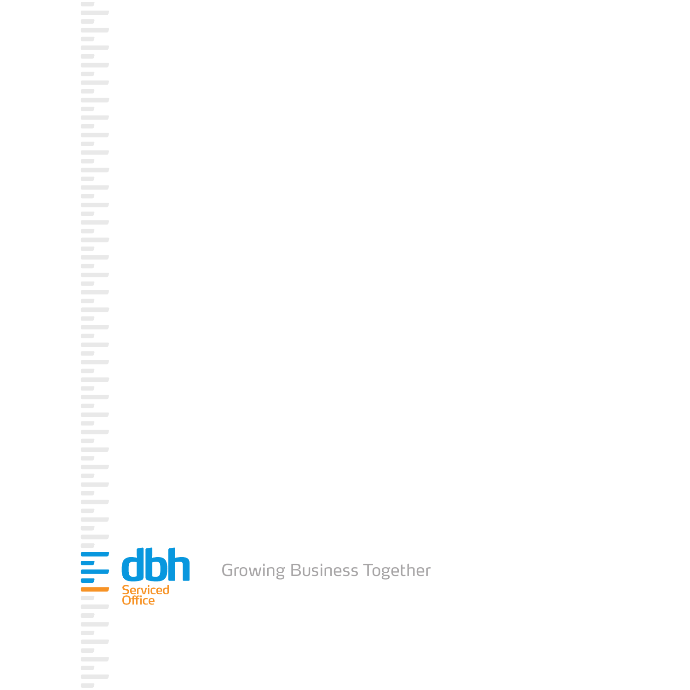

 $\mathcal{L}^{\mathcal{A}}$ 

 $\mathcal{L}^{\mathcal{A}}$ **Contract**  $\sim$  $\sim$  100  $\mu$ **Contract Contract Contract**  $\sim$  100  $\mu$  $\overline{\phantom{m}}$  $\sim$  $\sim$  $\mathcal{L}^{\text{max}}$  $\overline{\phantom{a}}$  $\sim$  $\sim$  $\sim$  $\mathcal{L}_{\mathcal{A}}$ **Contract Contract**  $\sim$  $\sim$  $\sim$ **Contract**  $\sim$  $\sim$  100  $\mu$  $\sim$  100  $\mu$  $\sim$  $\sim$  $\sim$  $\sim$  $\mathcal{L}^{\text{max}}$  $\mathcal{L}(\mathcal{A})$  $\sim$  $\sim$  $\sim$  100  $\mu$  $\sim$  $\sim$   $\sim$  $\overline{\phantom{a}}$ 

Growing Business Together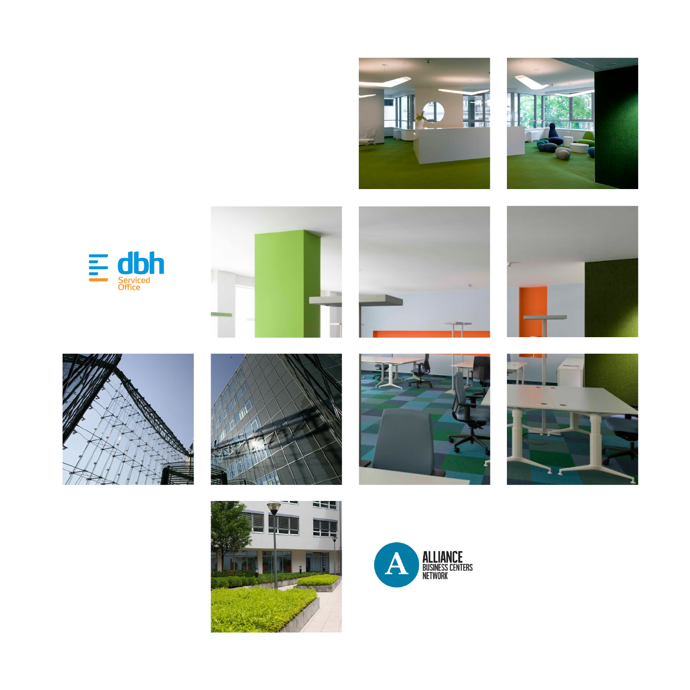





















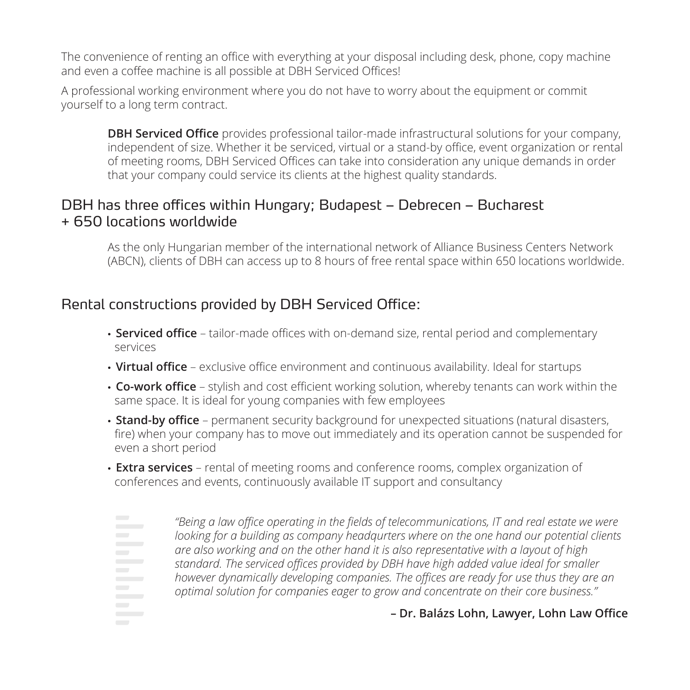The convenience of renting an office with everything at your disposal including desk, phone, copy machine and even a coffee machine is all possible at DBH Serviced Offices!

A professional working environment where you do not have to worry about the equipment or commit yourself to a long term contract.

**DBH Serviced Office** provides professional tailor-made infrastructural solutions for your company, independent of size. Whether it be serviced, virtual or a stand-by office, event organization or rental of meeting rooms, DBH Serviced Offices can take into consideration any unique demands in order that your company could service its clients at the highest quality standards.

## DBH has three offices within Hungary; Budapest – Debrecen – Bucharest + 650 locations worldwide

As the only Hungarian member of the international network of Alliance Business Centers Network (ABCN), clients of DBH can access up to 8 hours of free rental space within 650 locations worldwide.

## Rental constructions provided by DBH Serviced Office:

- **Serviced office** tailor-made offices with on-demand size, rental period and complementary services
- **Virtual office**  exclusive office environment and continuous availability. Ideal for startups
- **Co-work office**  stylish and cost efficient working solution, whereby tenants can work within the same space. It is ideal for young companies with few employees
- **Stand-by office** permanent security background for unexpected situations (natural disasters, fire) when your company has to move out immediately and its operation cannot be suspended for even a short period
- **Extra services** rental of meeting rooms and conference rooms, complex organization of conferences and events, continuously available IT support and consultancy
- 

*"Being a law office operating in the fields of telecommunications, IT and real estate we were looking for a building as company headqurters where on the one hand our potential clients are also working and on the other hand it is also representative with a layout of high standard. The serviced offices provided by DBH have high added value ideal for smaller however dynamically developing companies. The offices are ready for use thus they are an optimal solution for companies eager to grow and concentrate on their core business."*

## **– Dr. Balázs Lohn, Lawyer, Lohn Law Office**